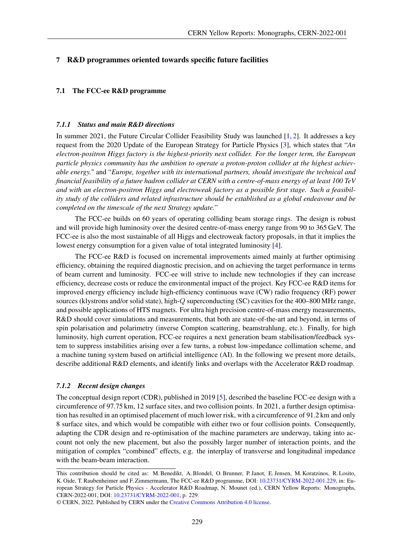### 7 R&D programmes oriented towards specific future facilities

## 7.1 The FCC-ee R&D programme

#### *7.1.1 Status and main R&D directions*

In summer 2021, the Future Circular Collider Feasibility Study was launched [\[1,](#page-4-0) [2\]](#page-4-1). It addresses a key request from the 2020 Update of the European Strategy for Particle Physics [\[3\]](#page-4-2), which states that "*An electron-positron Higgs factory is the highest-priority next collider. For the longer term, the European particle physics community has the ambition to operate a proton-proton collider at the highest achievable energy.*" and "*Europe, together with its international partners, should investigate the technical and financial feasibility of a future hadron collider at CERN with a centre-of-mass energy of at least 100 TeV and with an electron-positron Higgs and electroweak factory as a possible first stage. Such a feasibility study of the colliders and related infrastructure should be established as a global endeavour and be completed on the timescale of the next Strategy update.*"

The FCC-ee builds on 60 years of operating colliding beam storage rings. The design is robust and will provide high luminosity over the desired centre-of-mass energy range from 90 to 365 GeV. The FCC-ee is also the most sustainable of all Higgs and electroweak factory proposals, in that it implies the lowest energy consumption for a given value of total integrated luminosity [\[4\]](#page-5-0).

The FCC-ee R&D is focused on incremental improvements aimed mainly at further optimising efficiency, obtaining the required diagnostic precision, and on achieving the target performance in terms of beam current and luminosity. FCC-ee will strive to include new technologies if they can increase efficiency, decrease costs or reduce the environmental impact of the project. Key FCC-ee R&D items for improved energy efficiency include high-efficiency continuous wave (CW) radio frequency (RF) power sources (klystrons and/or solid state), high-Q superconducting (SC) cavities for the 400–800 MHz range, and possible applications of HTS magnets. For ultra high precision centre-of-mass energy measurements, R&D should cover simulations and measurements, that both are state-of-the-art and beyond, in terms of spin polarisation and polarimetry (inverse Compton scattering, beamstrahlung, etc.). Finally, for high luminosity, high current operation, FCC-ee requires a next generation beam stabilisation/feedback system to suppress instabilities arising over a few turns, a robust low-impedance collimation scheme, and a machine tuning system based on artificial intelligence (AI). In the following we present more details, describe additional R&D elements, and identify links and overlaps with the Accelerator R&D roadmap.

### *7.1.2 Recent design changes*

The conceptual design report (CDR), published in 2019 [\[5\]](#page-5-1), described the baseline FCC-ee design with a circumference of 97.75 km, 12 surface sites, and two collision points. In 2021, a further design optimisation has resulted in an optimised placement of much lower risk, with a circumference of 91.2 km and only 8 surface sites, and which would be compatible with either two or four collision points. Consequently, adapting the CDR design and re-optimisation of the machine parameters are underway, taking into account not only the new placement, but also the possibly larger number of interaction points, and the mitigation of complex "combined" effects, e.g. the interplay of transverse and longitudinal impedance with the beam-beam interaction.

This contribution should be cited as: M. Benedikt, A. Blondel, O. Brunner, P. Janot, E. Jensen, M. Koratzinos, R. Losito, K. Oide, T. Raubenheimer and F. Zimmermann, The FCC-ee R&D programme, DOI: [10.23731/CYRM-2022-001.229,](http://dx.doi.org/10.23731/CYRM-2022-001.229) in: European Strategy for Particle Physics - Accelerator R&D Roadmap, N. Mounet (ed.), CERN Yellow Reports: Monographs, CERN-2022-001, DOI: [10.23731/CYRM-2022-001,](http://dx.doi.org/10.23731/CYRM-2022-001) p. 229.

<sup>©</sup> CERN, 2022. Published by CERN under the [Creative Commons Attribution 4.0 license.](http://creativecommons.org/licenses/by/4.0/)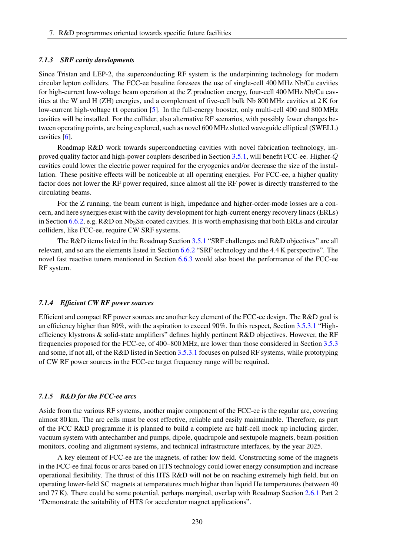#### *7.1.3 SRF cavity developments*

Since Tristan and LEP-2, the superconducting RF system is the underpinning technology for modern circular lepton colliders. The FCC-ee baseline foresees the use of single-cell 400 MHz Nb/Cu cavities for high-current low-voltage beam operation at the Z production energy, four-cell 400 MHz Nb/Cu cavities at the W and H (ZH) energies, and a complement of five-cell bulk Nb 800 MHz cavities at 2 K for low-current high-voltage  $t\bar{t}$  operation [\[5\]](#page-5-1). In the full-energy booster, only multi-cell 400 and 800 MHz cavities will be installed. For the collider, also alternative RF scenarios, with possibly fewer changes between operating points, are being explored, such as novel 600 MHz slotted waveguide elliptical (SWELL) cavities [\[6\]](#page-5-2).

Roadmap R&D work towards superconducting cavities with novel fabrication technology, improved quality factor and high-power couplers described in Section [3.5.1,](#page--1-0) will benefit FCC-ee. Higher-Q cavities could lower the electric power required for the cryogenics and/or decrease the size of the installation. These positive effects will be noticeable at all operating energies. For FCC-ee, a higher quality factor does not lower the RF power required, since almost all the RF power is directly transferred to the circulating beams.

For the Z running, the beam current is high, impedance and higher-order-mode losses are a concern, and here synergies exist with the cavity development for high-current energy recovery linacs (ERLs) in Section [6.6.2,](#page--1-1) e.g.  $R&D$  on  $Nb<sub>3</sub>Sn$ -coated cavities. It is worth emphasising that both ERLs and circular colliders, like FCC-ee, require CW SRF systems.

The R&D items listed in the Roadmap Section [3.5.1](#page--1-0) "SRF challenges and R&D objectives" are all relevant, and so are the elements listed in Section [6.6.2](#page--1-1) "SRF technology and the 4.4 K perspective". The novel fast reactive tuners mentioned in Section [6.6.3](#page--1-2) would also boost the performance of the FCC-ee RF system.

### *7.1.4 Efficient CW RF power sources*

Efficient and compact RF power sources are another key element of the FCC-ee design. The R&D goal is an efficiency higher than 80%, with the aspiration to exceed 90%. In this respect, Section [3.5.3.1](#page--1-3) "Highefficiency klystrons & solid-state amplifiers" defines highly pertinent R&D objectives. However, the RF frequencies proposed for the FCC-ee, of 400–800 MHz, are lower than those considered in Section [3.5.3](#page--1-4) and some, if not all, of the R&D listed in Section [3.5.3.1](#page--1-3) focuses on pulsed RF systems, while prototyping of CW RF power sources in the FCC-ee target frequency range will be required.

### *7.1.5 R&D for the FCC-ee arcs*

Aside from the various RF systems, another major component of the FCC-ee is the regular arc, covering almost 80 km. The arc cells must be cost effective, reliable and easily maintainable. Therefore, as part of the FCC R&D programme it is planned to build a complete arc half-cell mock up including girder, vacuum system with antechamber and pumps, dipole, quadrupole and sextupole magnets, beam-position monitors, cooling and alignment systems, and technical infrastructure interfaces, by the year 2025.

A key element of FCC-ee are the magnets, of rather low field. Constructing some of the magnets in the FCC-ee final focus or arcs based on HTS technology could lower energy consumption and increase operational flexibility. The thrust of this HTS R&D will not be on reaching extremely high field, but on operating lower-field SC magnets at temperatures much higher than liquid He temperatures (between 40 and 77 K). There could be some potential, perhaps marginal, overlap with Roadmap Section [2.6.1](#page--1-5) Part 2 "Demonstrate the suitability of HTS for accelerator magnet applications".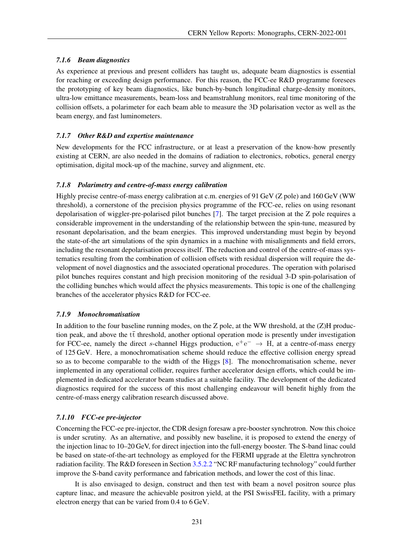# *7.1.6 Beam diagnostics*

As experience at previous and present colliders has taught us, adequate beam diagnostics is essential for reaching or exceeding design performance. For this reason, the FCC-ee R&D programme foresees the prototyping of key beam diagnostics, like bunch-by-bunch longitudinal charge-density monitors, ultra-low emittance measurements, beam-loss and beamstrahlung monitors, real time monitoring of the collision offsets, a polarimeter for each beam able to measure the 3D polarisation vector as well as the beam energy, and fast luminometers.

# *7.1.7 Other R&D and expertise maintenance*

New developments for the FCC infrastructure, or at least a preservation of the know-how presently existing at CERN, are also needed in the domains of radiation to electronics, robotics, general energy optimisation, digital mock-up of the machine, survey and alignment, etc.

# *7.1.8 Polarimetry and centre-of-mass energy calibration*

Highly precise centre-of-mass energy calibration at c.m. energies of 91 GeV (Z pole) and 160 GeV (WW threshold), a cornerstone of the precision physics programme of the FCC-ee, relies on using resonant depolarisation of wiggler-pre-polarised pilot bunches [\[7\]](#page-5-3). The target precision at the Z pole requires a considerable improvement in the understanding of the relationship between the spin-tune, measured by resonant depolarisation, and the beam energies. This improved understanding must begin by beyond the state-of-the art simulations of the spin dynamics in a machine with misalignments and field errors, including the resonant depolarisation process itself. The reduction and control of the centre-of-mass systematics resulting from the combination of collision offsets with residual dispersion will require the development of novel diagnostics and the associated operational procedures. The operation with polarised pilot bunches requires constant and high precision monitoring of the residual 3-D spin-polarisation of the colliding bunches which would affect the physics measurements. This topic is one of the challenging branches of the accelerator physics R&D for FCC-ee.

## *7.1.9 Monochromatisation*

In addition to the four baseline running modes, on the Z pole, at the WW threshold, at the (Z)H production peak, and above the  $t\bar{t}$  threshold, another optional operation mode is presently under investigation for FCC-ee, namely the direct s-channel Higgs production,  $e^+e^- \rightarrow H$ , at a centre-of-mass energy of 125 GeV. Here, a monochromatisation scheme should reduce the effective collision energy spread so as to become comparable to the width of the Higgs [\[8\]](#page-5-4). The monochromatisation scheme, never implemented in any operational collider, requires further accelerator design efforts, which could be implemented in dedicated accelerator beam studies at a suitable facility. The development of the dedicated diagnostics required for the success of this most challenging endeavour will benefit highly from the centre-of-mass energy calibration research discussed above.

# *7.1.10 FCC-ee pre-injector*

Concerning the FCC-ee pre-injector, the CDR design foresaw a pre-booster synchrotron. Now this choice is under scrutiny. As an alternative, and possibly new baseline, it is proposed to extend the energy of the injection linac to 10–20 GeV, for direct injection into the full-energy booster. The S-band linac could be based on state-of-the-art technology as employed for the FERMI upgrade at the Elettra synchrotron radiation facility. The R&D foreseen in Section [3.5.2.2](#page--1-6) "NC RF manufacturing technology" could further improve the S-band cavity performance and fabrication methods, and lower the cost of this linac.

It is also envisaged to design, construct and then test with beam a novel positron source plus capture linac, and measure the achievable positron yield, at the PSI SwissFEL facility, with a primary electron energy that can be varied from 0.4 to 6 GeV.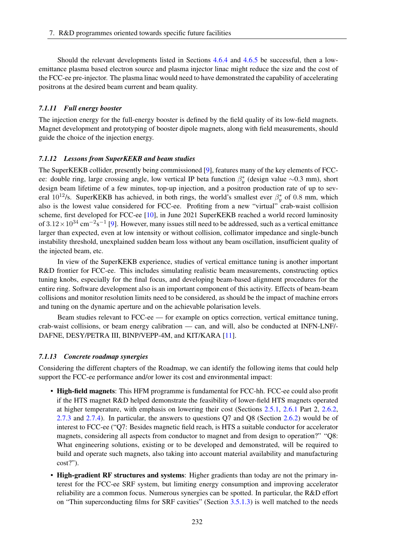Should the relevant developments listed in Sections [4.6.4](#page--1-7) and [4.6.5](#page--1-8) be successful, then a lowemittance plasma based electron source and plasma injector linac might reduce the size and the cost of the FCC-ee pre-injector. The plasma linac would need to have demonstrated the capability of accelerating positrons at the desired beam current and beam quality.

### *7.1.11 Full energy booster*

The injection energy for the full-energy booster is defined by the field quality of its low-field magnets. Magnet development and prototyping of booster dipole magnets, along with field measurements, should guide the choice of the injection energy.

#### *7.1.12 Lessons from SuperKEKB and beam studies*

The SuperKEKB collider, presently being commissioned [\[9\]](#page-5-5), features many of the key elements of FCCee: double ring, large crossing angle, low vertical IP beta function  $\beta_y^*$  (design value ~0.3 mm), short design beam lifetime of a few minutes, top-up injection, and a positron production rate of up to several  $10^{12}/s$ . SuperKEKB has achieved, in both rings, the world's smallest ever  $\beta_y^*$  of 0.8 mm, which also is the lowest value considered for FCC-ee. Profiting from a new "virtual" crab-waist collision scheme, first developed for FCC-ee [\[10\]](#page-5-6), in June 2021 SuperKEKB reached a world record luminosity of  $3.12 \times 10^{34}$  cm<sup>-2</sup>s<sup>-1</sup> [\[9\]](#page-5-5). However, many issues still need to be addressed, such as a vertical emittance larger than expected, even at low intensity or without collision, collimator impedance and single-bunch instability threshold, unexplained sudden beam loss without any beam oscillation, insufficient quality of the injected beam, etc.

In view of the SuperKEKB experience, studies of vertical emittance tuning is another important R&D frontier for FCC-ee. This includes simulating realistic beam measurements, constructing optics tuning knobs, especially for the final focus, and developing beam-based alignment procedures for the entire ring. Software development also is an important component of this activity. Effects of beam-beam collisions and monitor resolution limits need to be considered, as should be the impact of machine errors and tuning on the dynamic aperture and on the achievable polarisation levels.

Beam studies relevant to FCC-ee — for example on optics correction, vertical emittance tuning, crab-waist collisions, or beam energy calibration — can, and will, also be conducted at INFN-LNF/- DAFNE, DESY/PETRA III, BINP/VEPP-4M, and KIT/KARA [\[11\]](#page-5-7).

#### *7.1.13 Concrete roadmap synergies*

Considering the different chapters of the Roadmap, we can identify the following items that could help support the FCC-ee performance and/or lower its cost and environmental impact:

- High-field magnets: This HFM programme is fundamental for FCC-hh. FCC-ee could also profit if the HTS magnet R&D helped demonstrate the feasibility of lower-field HTS magnets operated at higher temperature, with emphasis on lowering their cost (Sections [2.5.1,](#page--1-9) [2.6.1](#page--1-5) Part 2, [2.6.2,](#page--1-10) [2.7.3](#page--1-11) and [2.7.4\)](#page--1-12). In particular, the answers to questions Q7 and Q8 (Section [2.6.2\)](#page--1-10) would be of interest to FCC-ee ("Q7: Besides magnetic field reach, is HTS a suitable conductor for accelerator magnets, considering all aspects from conductor to magnet and from design to operation?" "Q8: What engineering solutions, existing or to be developed and demonstrated, will be required to build and operate such magnets, also taking into account material availability and manufacturing cost?").
- High-gradient RF structures and systems: Higher gradients than today are not the primary interest for the FCC-ee SRF system, but limiting energy consumption and improving accelerator reliability are a common focus. Numerous synergies can be spotted. In particular, the R&D effort on "Thin superconducting films for SRF cavities" (Section [3.5.1.3\)](#page--1-13) is well matched to the needs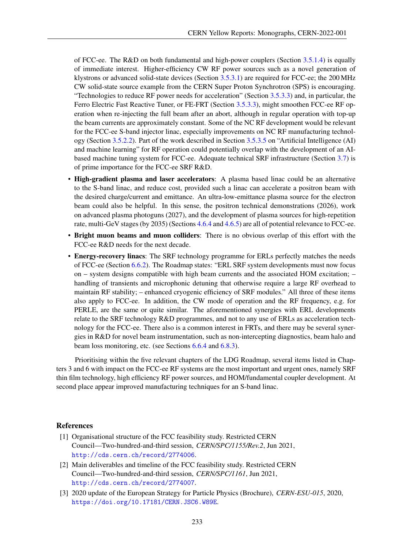of FCC-ee. The R&D on both fundamental and high-power couplers (Section [3.5.1.4\)](#page--1-14) is equally of immediate interest. Higher-efficiency CW RF power sources such as a novel generation of klystrons or advanced solid-state devices (Section [3.5.3.1\)](#page--1-3) are required for FCC-ee; the 200 MHz CW solid-state source example from the CERN Super Proton Synchrotron (SPS) is encouraging. "Technologies to reduce RF power needs for acceleration" (Section [3.5.3.3\)](#page--1-15) and, in particular, the Ferro Electric Fast Reactive Tuner, or FE-FRT (Section [3.5.3.3\)](#page--1-15), might smoothen FCC-ee RF operation when re-injecting the full beam after an abort, although in regular operation with top-up the beam currents are approximately constant. Some of the NC RF development would be relevant for the FCC-ee S-band injector linac, especially improvements on NC RF manufacturing technology (Section [3.5.2.2\)](#page--1-6). Part of the work described in Section [3.5.3.5](#page--1-16) on "Artificial Intelligence (AI) and machine learning" for RF operation could potentially overlap with the development of an AIbased machine tuning system for FCC-ee. Adequate technical SRF infrastructure (Section [3.7\)](#page--1-17) is of prime importance for the FCC-ee SRF R&D.

- High-gradient plasma and laser accelerators: A plasma based linac could be an alternative to the S-band linac, and reduce cost, provided such a linac can accelerate a positron beam with the desired charge/current and emittance. An ultra-low-emittance plasma source for the electron beam could also be helpful. In this sense, the positron technical demonstrations (2026), work on advanced plasma photoguns (2027), and the development of plasma sources for high-repetition rate, multi-GeV stages (by 2035) (Sections [4.6.4](#page--1-7) and [4.6.5\)](#page--1-8) are all of potential relevance to FCC-ee.
- Bright muon beams and muon colliders: There is no obvious overlap of this effort with the FCC-ee R&D needs for the next decade.
- Energy-recovery linacs: The SRF technology programme for ERLs perfectly matches the needs of FCC-ee (Section [6.6.2\)](#page--1-1). The Roadmap states: "ERL SRF system developments must now focus on – system designs compatible with high beam currents and the associated HOM excitation; – handling of transients and microphonic detuning that otherwise require a large RF overhead to maintain RF stability; – enhanced cryogenic efficiency of SRF modules." All three of these items also apply to FCC-ee. In addition, the CW mode of operation and the RF frequency, e.g. for PERLE, are the same or quite similar. The aforementioned synergies with ERL developments relate to the SRF technology R&D programmes, and not to any use of ERLs as acceleration technology for the FCC-ee. There also is a common interest in FRTs, and there may be several synergies in R&D for novel beam instrumentation, such as non-intercepting diagnostics, beam halo and beam loss monitoring, etc. (see Sections [6.6.4](#page--1-18) and [6.8.3\)](#page--1-19).

Prioritising within the five relevant chapters of the LDG Roadmap, several items listed in Chapters 3 and 6 with impact on the FCC-ee RF systems are the most important and urgent ones, namely SRF thin film technology, high efficiency RF power sources, and HOM/fundamental coupler development. At second place appear improved manufacturing techniques for an S-band linac.

### References

- <span id="page-4-0"></span>[1] Organisational structure of the FCC feasibility study. Restricted CERN Council—Two-hundred-and-third session, *CERN/SPC/1155/Rev.2*, Jun 2021, <http://cds.cern.ch/record/2774006>.
- <span id="page-4-1"></span>[2] Main deliverables and timeline of the FCC feasibility study. Restricted CERN Council—Two-hundred-and-third session, *CERN/SPC/1161*, Jun 2021, <http://cds.cern.ch/record/2774007>.
- <span id="page-4-2"></span>[3] 2020 update of the European Strategy for Particle Physics (Brochure), *CERN-ESU-015*, 2020, <https://doi.org/10.17181/CERN.JSC6.W89E>.